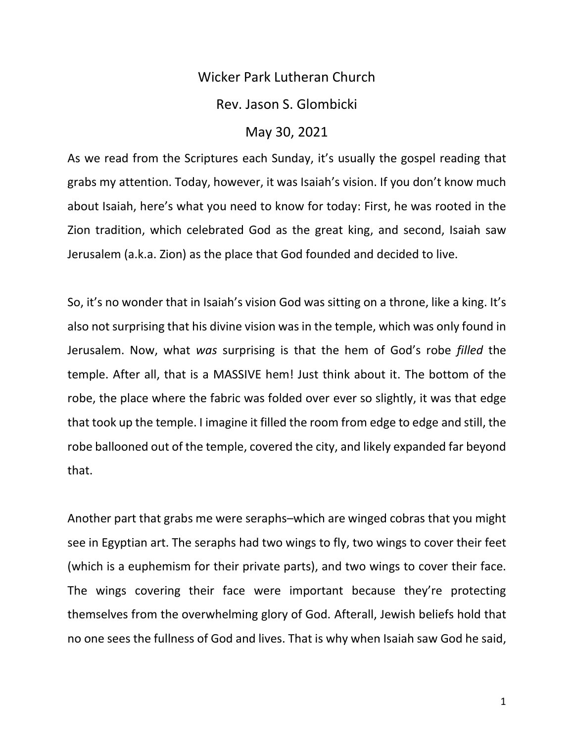## Wicker Park Lutheran Church Rev. Jason S. Glombicki May 30, 2021

As we read from the Scriptures each Sunday, it's usually the gospel reading that grabs my attention. Today, however, it was Isaiah's vision. If you don't know much about Isaiah, here's what you need to know for today: First, he was rooted in the Zion tradition, which celebrated God as the great king, and second, Isaiah saw Jerusalem (a.k.a. Zion) as the place that God founded and decided to live.

So, it's no wonder that in Isaiah's vision God was sitting on a throne, like a king. It's also not surprising that his divine vision was in the temple, which was only found in Jerusalem. Now, what *was* surprising is that the hem of God's robe *filled* the temple. After all, that is a MASSIVE hem! Just think about it. The bottom of the robe, the place where the fabric was folded over ever so slightly, it was that edge that took up the temple. I imagine it filled the room from edge to edge and still, the robe ballooned out of the temple, covered the city, and likely expanded far beyond that.

Another part that grabs me were seraphs–which are winged cobras that you might see in Egyptian art. The seraphs had two wings to fly, two wings to cover their feet (which is a euphemism for their private parts), and two wings to cover their face. The wings covering their face were important because they're protecting themselves from the overwhelming glory of God. Afterall, Jewish beliefs hold that no one sees the fullness of God and lives. That is why when Isaiah saw God he said,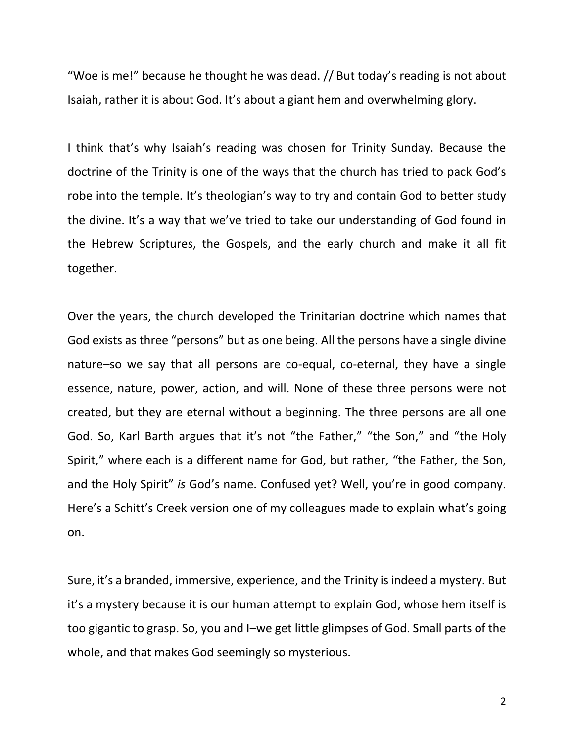"Woe is me!" because he thought he was dead. // But today's reading is not about Isaiah, rather it is about God. It's about a giant hem and overwhelming glory.

I think that's why Isaiah's reading was chosen for Trinity Sunday. Because the doctrine of the Trinity is one of the ways that the church has tried to pack God's robe into the temple. It's theologian's way to try and contain God to better study the divine. It's a way that we've tried to take our understanding of God found in the Hebrew Scriptures, the Gospels, and the early church and make it all fit together.

Over the years, the church developed the Trinitarian doctrine which names that God exists as three "persons" but as one being. All the persons have a single divine nature–so we say that all persons are co-equal, co-eternal, they have a single essence, nature, power, action, and will. None of these three persons were not created, but they are eternal without a beginning. The three persons are all one God. So, Karl Barth argues that it's not "the Father," "the Son," and "the Holy Spirit," where each is a different name for God, but rather, "the Father, the Son, and the Holy Spirit" *is* God's name. Confused yet? Well, you're in good company. Here's a Schitt's Creek version one of my colleagues made to explain what's going on.

Sure, it's a branded, immersive, experience, and the Trinity is indeed a mystery. But it's a mystery because it is our human attempt to explain God, whose hem itself is too gigantic to grasp. So, you and I–we get little glimpses of God. Small parts of the whole, and that makes God seemingly so mysterious.

2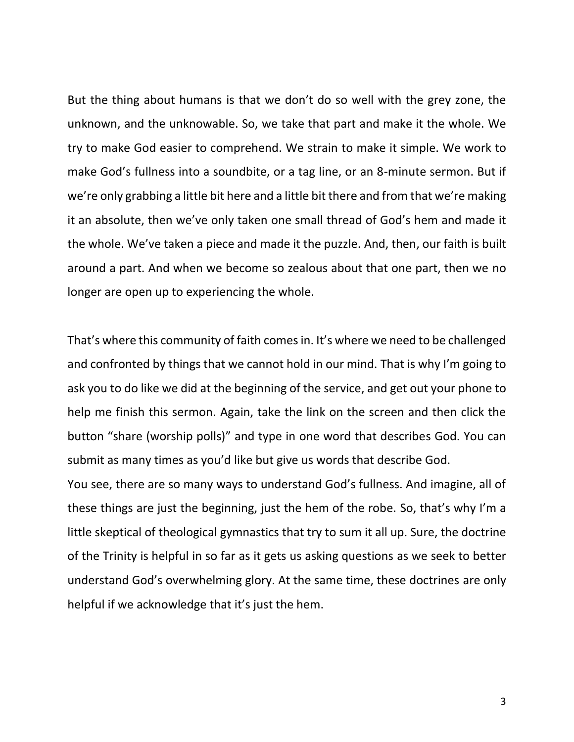But the thing about humans is that we don't do so well with the grey zone, the unknown, and the unknowable. So, we take that part and make it the whole. We try to make God easier to comprehend. We strain to make it simple. We work to make God's fullness into a soundbite, or a tag line, or an 8-minute sermon. But if we're only grabbing a little bit here and a little bit there and from that we're making it an absolute, then we've only taken one small thread of God's hem and made it the whole. We've taken a piece and made it the puzzle. And, then, our faith is built around a part. And when we become so zealous about that one part, then we no longer are open up to experiencing the whole.

That's where this community of faith comes in. It's where we need to be challenged and confronted by things that we cannot hold in our mind. That is why I'm going to ask you to do like we did at the beginning of the service, and get out your phone to help me finish this sermon. Again, take the link on the screen and then click the button "share (worship polls)" and type in one word that describes God. You can submit as many times as you'd like but give us words that describe God.

You see, there are so many ways to understand God's fullness. And imagine, all of these things are just the beginning, just the hem of the robe. So, that's why I'm a little skeptical of theological gymnastics that try to sum it all up. Sure, the doctrine of the Trinity is helpful in so far as it gets us asking questions as we seek to better understand God's overwhelming glory. At the same time, these doctrines are only helpful if we acknowledge that it's just the hem.